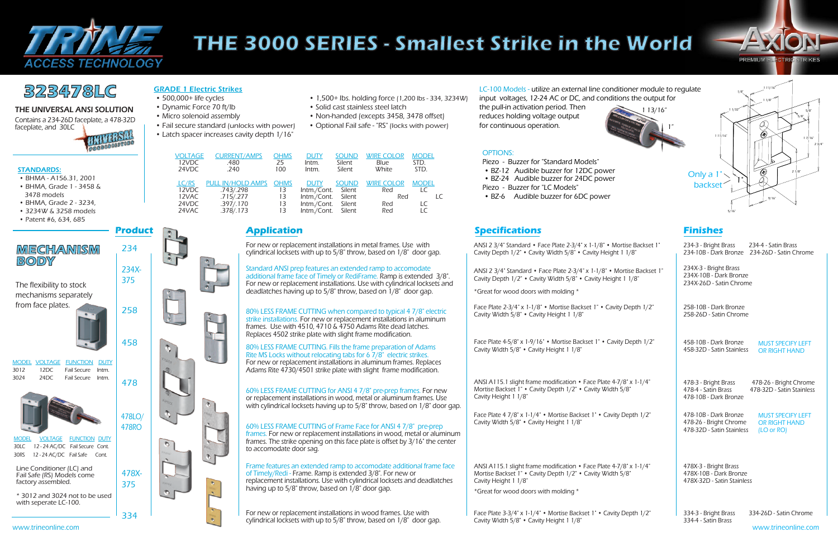

# **THE 3000 SERIES - Smallest Strike in the World**

## **323478LC** GRADE 1 Electric Strikes • 1,500+ lbs. holding force (1,200 lbs - 334, 3234W) l.C-100 Models - utilize an external line conditioner module to regulate • 500,000+ life cycles • 1,500 + lbs. holding force (1,200 l

from face plates.

80% LESS FRAME CUTTING when compared to typical 4 7/8" electric strike installations. For new or replacement installations in aluminum frames. Use with 4510, 4710 & 4750 Adams Rite dead latches. Replaces 4502 strike plate with slight frame modification.

ANSI 2 3/4" Standard • Face Plate 2-3/4" x 1-1/8" • Mortise Backset 1" Cavity Depth 1/2" • Cavity Width 5/8" • Cavity Height 1 1/8"

For new or replacement installations in metal frames. Use with cylindrical locksets with up to 5/8" throw, based on 1/8" door gap.

> Face Plate 2-3/4" x 1-1/8" • Mortise Backset 1" • Cavity Depth 1/2" Cavity Width 5/8" • Cavity Height 1 1/8"

334 For new or replacement installations in wood frames. Use with cylindrical locksets with up to 5/8" throw, based on 1/8" door gap.

80% LESS FRAME CUTTING. Fills the frame preparation of Adams Rite MS Locks without relocating tabs for 6 7/8" electric strikes. For new or replacement installations in aluminum frames. Replaces Adams Rite 4730/4501 strike plate with slight frame modification.

Face Plate 4-5/8" x 1-9/16" • Mortise Backset 1" • Cavity Depth 1/2" Cavity Width 5/8" • Cavity Height 1 1/8"

Face Plate 3-3/4" x 1-1/4" • Mortise Backset 1" • Cavity Depth 1/2" Cavity Width 5/8" • Cavity Height 1 1/8"

334-3 - Bright Brass 334-26D - Satin Chrome

334-4 - Satin Brass

60% LESS FRAME CUTTING for ANSI 4 7/8" pre-prep frames. For new or replacement installations in wood, metal or aluminum frames. Use with cylindrical locksets having up to 5/8" throw, based on 1/8" door gap. ANSI A115.1 slight frame modification • Face Plate 4-7/8" x 1-1/4" Mortise Backset 1" • Cavity Depth 1/2" • Cavity Width 5/8" Cavity Height 1 1/8"

| 234-3 - Bright Brass<br>234-4 - Satin Brass<br>234-10B - Dark Bronze 234-26D - Satin Chrome |                                                     |  |  |  |
|---------------------------------------------------------------------------------------------|-----------------------------------------------------|--|--|--|
| 234X-3 - Bright Brass<br>234X-10B - Dark Bronze<br>234X-26D - Satin Chrome                  |                                                     |  |  |  |
| 258-10B - Dark Bronze<br>258-26D - Satin Chrome                                             |                                                     |  |  |  |
| 458-10B - Dark Bronze<br>458-32D - Satin Stainless                                          | <b>MUST SPECIFY LEFT</b><br><b>OR RIGHT HAND</b>    |  |  |  |
| 478-3 - Bright Brass<br>478-4 - Satin Brass<br>478-10B - Dark Bronze                        | 478-26 - Bright Chrome<br>478-32D - Satin Stainless |  |  |  |
| 478-10B - Dark Bronze<br>478-26 - Bright Chrome<br>478-32D - Satin Stainless<br>(LO or RO)  | <b>MUST SPECIFY LEFT</b><br>OR RIGHT HAND           |  |  |  |
| 478X-3 - Bright Brass<br>478X-10B - Dark Bronze<br>478X-32D - Satin Stainless               |                                                     |  |  |  |

### 60% LESS FRAME CUTTING of Frame Face for ANSI 4 7/8" pre-prep

frames. For new or replacement installations in wood, metal or aluminum frames. The strike opening on this face plate is offset by 3/16" the center to accomodate door sag.

- 
- 
- 
- 
- Latch spacer increases cavity depth 1/16"
- $1,500+$  lbs. holding force (1,200 lbs 334, 3234W)
- Dynamic Force 70 ft/lb Solid cast stainless steel latch
- Micro solenoid assembly  **Non-handed (excepts 3458, 3478 offset)**
- Fail secure standard (unlocks with power) Optional Fail safe "RS" (locks with power)

Face Plate 4 7/8" x 1-1/4" • Mortise Backset 1" • Cavity Depth 1/2" Cavity Width 5/8" • Cavity Height 1 1/8"



Standard ANSI prep features an extended ramp to accomodate additional frame face of Timely or RediFrame. Ramp is extended 3/8". For new or replacement installations. Use with cylindrical locksets and deadlatches having up to 5/8" throw, based on 1/8" door gap.

ANSI 2 3/4" Standard • Face Plate 2-3/4" x 1-1/8" • Mortise Backset 1" Cavity Depth 1/2" • Cavity Width 5/8" • Cavity Height 1 1/8"

\*Great for wood doors with molding \*

Frame features an extended ramp to accomodate additional frame face of Timely/Redi - Frame. Ramp is extended 3/8". For new or replacement installations. Use with cylindrical locksets and deadlatches having up to 5/8" throw, based on 1/8" door gap.

ANSI A115.1 slight frame modification • Face Plate 4-7/8" x 1-1/4" Mortise Backset 1" • Cavity Depth 1/2" • Cavity Width 5/8" Cavity Height 1 1/8"

\*Great for wood doors with molding \*

**BODY**

input voltages, 12-24 AC or DC, and conditions the output for the pull-in activation period. Then reduces holding voltage output for continuous operation.

### OPTIONS:

Piezo - Buzzer for "Standard Models"

- BZ-12 Audible buzzer for 12DC power
- BZ-24 Audible buzzer for 24DC power
- Piezo Buzzer for "LC Models"
- BZ-6 Audible buzzer for 6DC power

| <b>VOLTAGE</b><br>12VDC<br>24VDC | <b>CURRENT/AMPS</b><br>.480<br>.240 | <b>OHMS</b><br>25<br>100 | <b>DUTY</b><br>Intm.<br>Intm. | <b>SOUND</b><br>Silent<br>Silent | <b>WIRE COLOR</b><br>Blue<br>White | <b>MODEL</b><br>STD.<br>STD. |
|----------------------------------|-------------------------------------|--------------------------|-------------------------------|----------------------------------|------------------------------------|------------------------------|
| LC/RS                            | PULL IN/HOLD AMPS OHMS              |                          | <b>DUTY</b>                   | <b>SOUND</b>                     | <b>WIRE COLOR</b>                  | <b>MODEL</b>                 |
| 12VDC                            | .743/.298                           | 13                       | Intm./Cont. Silent            |                                  | Red                                | LC                           |
| 12VAC                            | .715/.277                           | 13                       | Intm./Cont. Silent            |                                  | Red                                |                              |
| 24VDC                            | .397/.170                           | 13                       | Intm./Cont. Silent            |                                  | Red                                | LC                           |
| 24VAC                            | .378/.173                           | 13                       | Intm./Cont. Silent            |                                  | Red                                |                              |

### STANDARDS:

- BHMA A156.31, 2001
- BHMA, Grade 1 3458 & 3478 models
- BHMA, Grade 2 3234,
- 3234W & 3258 models
- Patent #6, 634, 685



### GRADE 1 Electric Strikes

factory assembled.

**PREMIUM ELE CTRIC STRIKES** 

## **Product Application Specifications Finishes**

www.trineonline.com www.trineonline.com

- 
- 
- 
- 
- 
- 
- 
- 

THE UNIVERSAL ANSI SOLUTION

Contains a 234-26D faceplate, a 478-32D faceplate, and 30LC

# UNIVERSAL